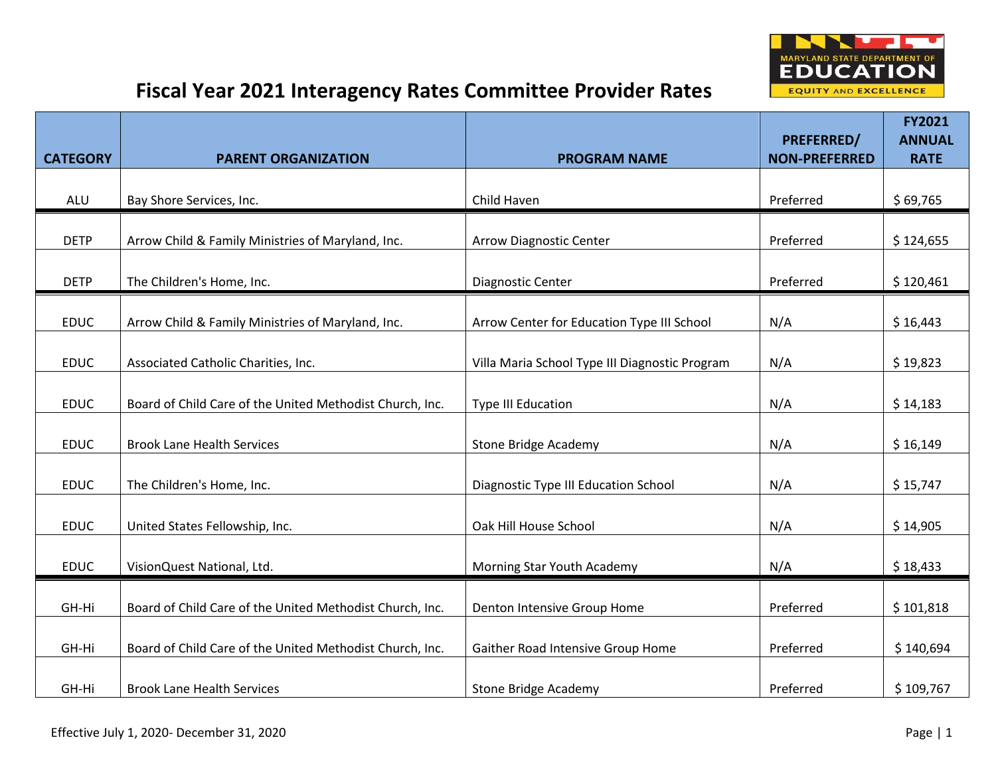

|                 |                                                          |                                                | PREFERRED/           | <b>FY2021</b><br><b>ANNUAL</b> |
|-----------------|----------------------------------------------------------|------------------------------------------------|----------------------|--------------------------------|
| <b>CATEGORY</b> | <b>PARENT ORGANIZATION</b>                               | <b>PROGRAM NAME</b>                            | <b>NON-PREFERRED</b> | <b>RATE</b>                    |
| ALU             | Bay Shore Services, Inc.                                 | Child Haven                                    | Preferred            | \$69,765                       |
|                 |                                                          |                                                |                      |                                |
| <b>DETP</b>     | Arrow Child & Family Ministries of Maryland, Inc.        | <b>Arrow Diagnostic Center</b>                 | Preferred            | \$124,655                      |
| <b>DETP</b>     | The Children's Home, Inc.                                | <b>Diagnostic Center</b>                       | Preferred            | \$120,461                      |
| <b>EDUC</b>     | Arrow Child & Family Ministries of Maryland, Inc.        | Arrow Center for Education Type III School     | N/A                  | \$16,443                       |
|                 |                                                          |                                                |                      |                                |
| <b>EDUC</b>     | Associated Catholic Charities, Inc.                      | Villa Maria School Type III Diagnostic Program | N/A                  | \$19,823                       |
| <b>EDUC</b>     | Board of Child Care of the United Methodist Church, Inc. | <b>Type III Education</b>                      | N/A                  | \$14,183                       |
|                 |                                                          |                                                |                      |                                |
| <b>EDUC</b>     | <b>Brook Lane Health Services</b>                        | <b>Stone Bridge Academy</b>                    | N/A                  | \$16,149                       |
| <b>EDUC</b>     | The Children's Home, Inc.                                | Diagnostic Type III Education School           | N/A                  | \$15,747                       |
|                 |                                                          |                                                |                      |                                |
| <b>EDUC</b>     | United States Fellowship, Inc.                           | Oak Hill House School                          | N/A                  | \$14,905                       |
| <b>EDUC</b>     | VisionQuest National, Ltd.                               | Morning Star Youth Academy                     | N/A                  | \$18,433                       |
|                 |                                                          |                                                |                      |                                |
| GH-Hi           | Board of Child Care of the United Methodist Church, Inc. | Denton Intensive Group Home                    | Preferred            | \$101,818                      |
| GH-Hi           | Board of Child Care of the United Methodist Church, Inc. | Gaither Road Intensive Group Home              | Preferred            | \$140,694                      |
| GH-Hi           | <b>Brook Lane Health Services</b>                        | <b>Stone Bridge Academy</b>                    | Preferred            | \$109,767                      |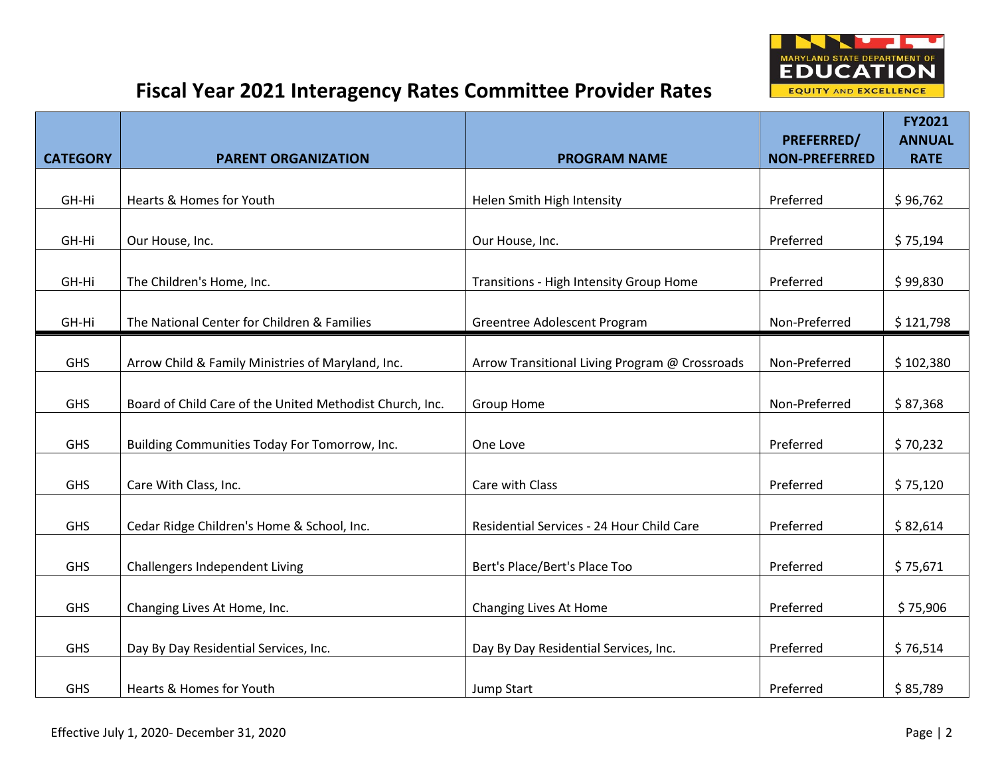

|                 |                                                          |                                                | <b>PREFERRED/</b>    | <b>FY2021</b><br><b>ANNUAL</b> |
|-----------------|----------------------------------------------------------|------------------------------------------------|----------------------|--------------------------------|
| <b>CATEGORY</b> | <b>PARENT ORGANIZATION</b>                               | <b>PROGRAM NAME</b>                            | <b>NON-PREFERRED</b> | <b>RATE</b>                    |
|                 |                                                          |                                                |                      |                                |
| GH-Hi           | Hearts & Homes for Youth                                 | Helen Smith High Intensity                     | Preferred            | \$96,762                       |
| GH-Hi           | Our House, Inc.                                          | Our House, Inc.                                | Preferred            | \$75,194                       |
| GH-Hi           | The Children's Home, Inc.                                | Transitions - High Intensity Group Home        | Preferred            | \$99,830                       |
| GH-Hi           | The National Center for Children & Families              | Greentree Adolescent Program                   | Non-Preferred        | \$121,798                      |
|                 |                                                          |                                                |                      |                                |
| <b>GHS</b>      | Arrow Child & Family Ministries of Maryland, Inc.        | Arrow Transitional Living Program @ Crossroads | Non-Preferred        | \$102,380                      |
| <b>GHS</b>      | Board of Child Care of the United Methodist Church, Inc. | <b>Group Home</b>                              | Non-Preferred        | \$87,368                       |
| <b>GHS</b>      | Building Communities Today For Tomorrow, Inc.            | One Love                                       | Preferred            | \$70,232                       |
| <b>GHS</b>      | Care With Class, Inc.                                    | Care with Class                                | Preferred            | \$75,120                       |
| <b>GHS</b>      | Cedar Ridge Children's Home & School, Inc.               | Residential Services - 24 Hour Child Care      | Preferred            | \$82,614                       |
|                 |                                                          |                                                |                      |                                |
| <b>GHS</b>      | Challengers Independent Living                           | Bert's Place/Bert's Place Too                  | Preferred            | \$75,671                       |
| <b>GHS</b>      | Changing Lives At Home, Inc.                             | Changing Lives At Home                         | Preferred            | \$75,906                       |
| <b>GHS</b>      | Day By Day Residential Services, Inc.                    | Day By Day Residential Services, Inc.          | Preferred            | \$76,514                       |
| <b>GHS</b>      | Hearts & Homes for Youth                                 | Jump Start                                     | Preferred            | \$85,789                       |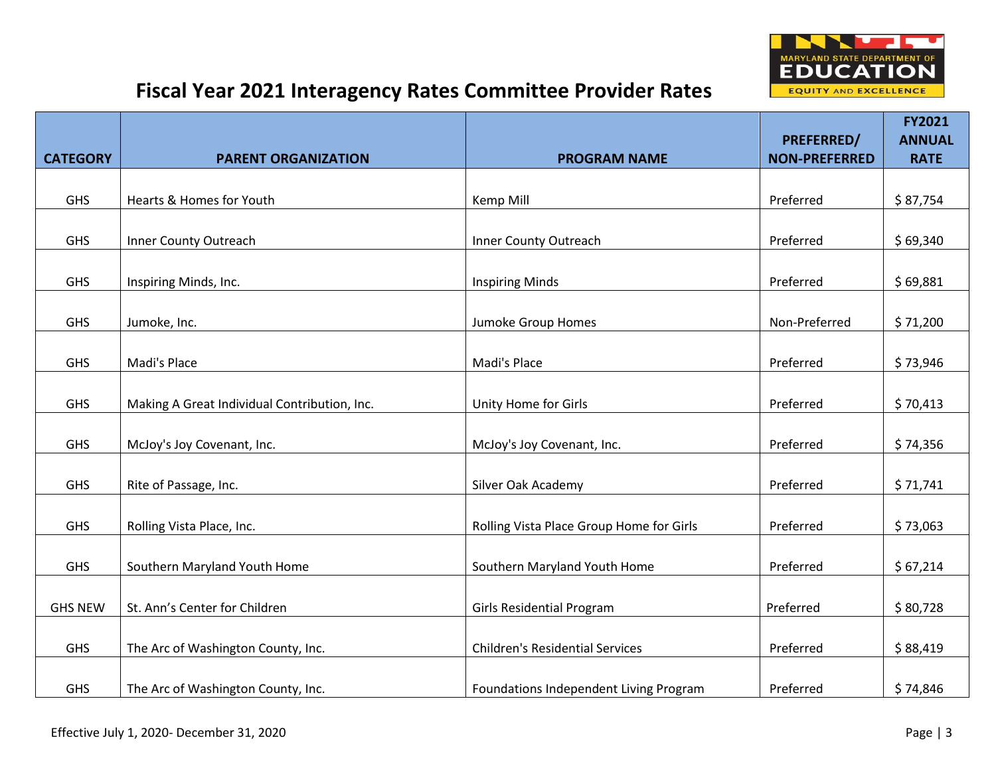

|                 |                                              |                                          |                                           | <b>FY2021</b>                |
|-----------------|----------------------------------------------|------------------------------------------|-------------------------------------------|------------------------------|
| <b>CATEGORY</b> | <b>PARENT ORGANIZATION</b>                   | <b>PROGRAM NAME</b>                      | <b>PREFERRED/</b><br><b>NON-PREFERRED</b> | <b>ANNUAL</b><br><b>RATE</b> |
|                 |                                              |                                          |                                           |                              |
| <b>GHS</b>      | Hearts & Homes for Youth                     | Kemp Mill                                | Preferred                                 | \$87,754                     |
|                 |                                              |                                          |                                           |                              |
| <b>GHS</b>      | Inner County Outreach                        | Inner County Outreach                    | Preferred                                 | \$69,340                     |
| <b>GHS</b>      | Inspiring Minds, Inc.                        | <b>Inspiring Minds</b>                   | Preferred                                 | \$69,881                     |
| <b>GHS</b>      | Jumoke, Inc.                                 | Jumoke Group Homes                       | Non-Preferred                             | \$71,200                     |
| <b>GHS</b>      | Madi's Place                                 | Madi's Place                             | Preferred                                 | \$73,946                     |
|                 |                                              |                                          |                                           |                              |
| <b>GHS</b>      | Making A Great Individual Contribution, Inc. | Unity Home for Girls                     | Preferred                                 | \$70,413                     |
| <b>GHS</b>      | McJoy's Joy Covenant, Inc.                   | McJoy's Joy Covenant, Inc.               | Preferred                                 | \$74,356                     |
| <b>GHS</b>      | Rite of Passage, Inc.                        | Silver Oak Academy                       | Preferred                                 | \$71,741                     |
| GHS             | Rolling Vista Place, Inc.                    | Rolling Vista Place Group Home for Girls | Preferred                                 | \$73,063                     |
| <b>GHS</b>      | Southern Maryland Youth Home                 | Southern Maryland Youth Home             | Preferred                                 | \$67,214                     |
| <b>GHS NEW</b>  | St. Ann's Center for Children                | <b>Girls Residential Program</b>         | Preferred                                 | \$80,728                     |
| <b>GHS</b>      | The Arc of Washington County, Inc.           | <b>Children's Residential Services</b>   | Preferred                                 | \$88,419                     |
| <b>GHS</b>      | The Arc of Washington County, Inc.           | Foundations Independent Living Program   | Preferred                                 | \$74,846                     |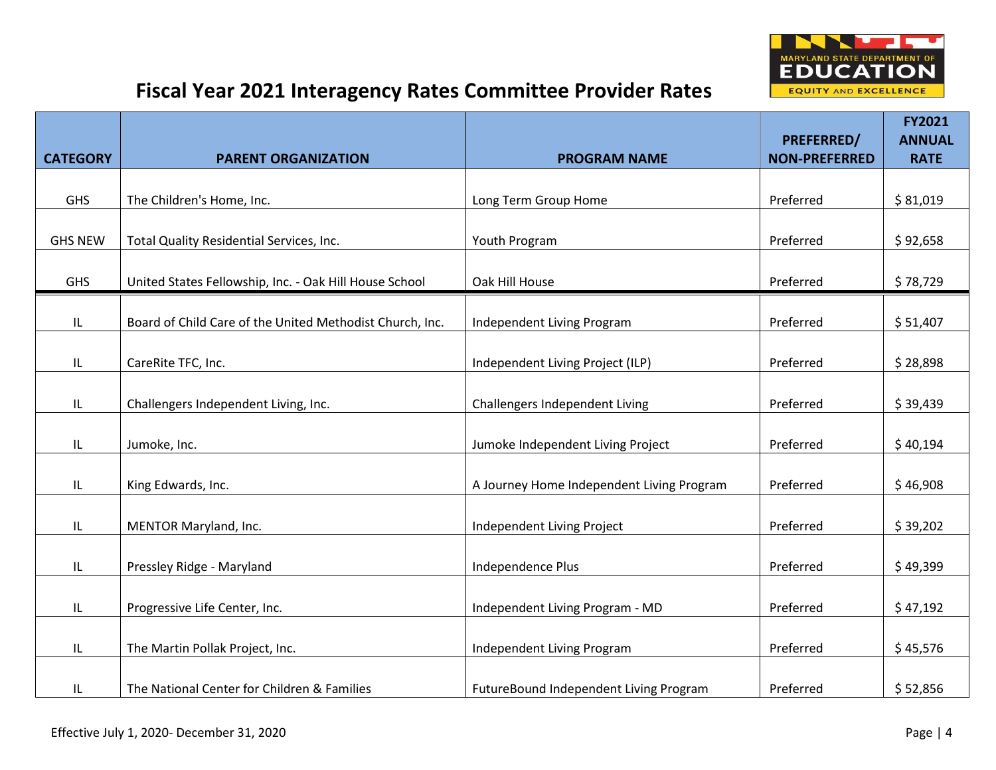

|                 |                                                          |                                           |                                           | <b>FY2021</b>                |
|-----------------|----------------------------------------------------------|-------------------------------------------|-------------------------------------------|------------------------------|
| <b>CATEGORY</b> | <b>PARENT ORGANIZATION</b>                               | <b>PROGRAM NAME</b>                       | <b>PREFERRED/</b><br><b>NON-PREFERRED</b> | <b>ANNUAL</b><br><b>RATE</b> |
|                 |                                                          |                                           |                                           |                              |
| <b>GHS</b>      | The Children's Home, Inc.                                | Long Term Group Home                      | Preferred                                 | \$81,019                     |
|                 |                                                          |                                           |                                           |                              |
| <b>GHS NEW</b>  | Total Quality Residential Services, Inc.                 | Youth Program                             | Preferred                                 | \$92,658                     |
| <b>GHS</b>      | United States Fellowship, Inc. - Oak Hill House School   | Oak Hill House                            | Preferred                                 | \$78,729                     |
| IL              | Board of Child Care of the United Methodist Church, Inc. | Independent Living Program                | Preferred                                 | \$51,407                     |
| IL              | CareRite TFC, Inc.                                       | Independent Living Project (ILP)          | Preferred                                 | \$28,898                     |
| IL              | Challengers Independent Living, Inc.                     | Challengers Independent Living            | Preferred                                 | \$39,439                     |
| IL              | Jumoke, Inc.                                             | Jumoke Independent Living Project         | Preferred                                 | \$40,194                     |
| IL              | King Edwards, Inc.                                       | A Journey Home Independent Living Program | Preferred                                 | \$46,908                     |
| IL              | MENTOR Maryland, Inc.                                    | Independent Living Project                | Preferred                                 | \$39,202                     |
| IL              | Pressley Ridge - Maryland                                | Independence Plus                         | Preferred                                 | \$49,399                     |
| IL              | Progressive Life Center, Inc.                            | Independent Living Program - MD           | Preferred                                 | \$47,192                     |
| IL              | The Martin Pollak Project, Inc.                          | Independent Living Program                | Preferred                                 | \$45,576                     |
| IL              | The National Center for Children & Families              | FutureBound Independent Living Program    | Preferred                                 | \$52,856                     |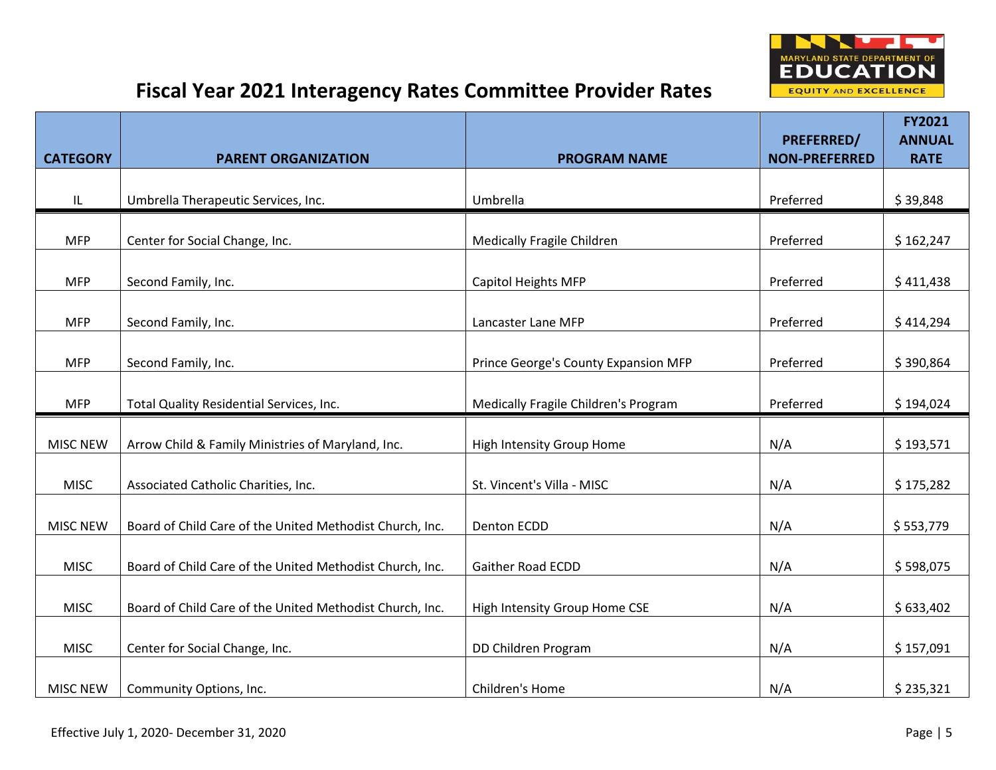

|                 |                                                          |                                      | PREFERRED/           | FY2021<br><b>ANNUAL</b> |
|-----------------|----------------------------------------------------------|--------------------------------------|----------------------|-------------------------|
| <b>CATEGORY</b> | <b>PARENT ORGANIZATION</b>                               | <b>PROGRAM NAME</b>                  | <b>NON-PREFERRED</b> | <b>RATE</b>             |
| IL              | Umbrella Therapeutic Services, Inc.                      | Umbrella                             | Preferred            | \$39,848                |
| <b>MFP</b>      | Center for Social Change, Inc.                           | <b>Medically Fragile Children</b>    | Preferred            | \$162,247               |
| <b>MFP</b>      | Second Family, Inc.                                      | <b>Capitol Heights MFP</b>           | Preferred            | \$411,438               |
| <b>MFP</b>      | Second Family, Inc.                                      | Lancaster Lane MFP                   | Preferred            | \$414,294               |
| <b>MFP</b>      | Second Family, Inc.                                      | Prince George's County Expansion MFP | Preferred            | \$390,864               |
| <b>MFP</b>      | Total Quality Residential Services, Inc.                 | Medically Fragile Children's Program | Preferred            | \$194,024               |
| <b>MISC NEW</b> | Arrow Child & Family Ministries of Maryland, Inc.        | High Intensity Group Home            | N/A                  | \$193,571               |
| <b>MISC</b>     | Associated Catholic Charities, Inc.                      | St. Vincent's Villa - MISC           | N/A                  | \$175,282               |
| <b>MISC NEW</b> | Board of Child Care of the United Methodist Church, Inc. | Denton ECDD                          | N/A                  | \$553,779               |
| <b>MISC</b>     | Board of Child Care of the United Methodist Church, Inc. | <b>Gaither Road ECDD</b>             | N/A                  | \$598,075               |
| <b>MISC</b>     | Board of Child Care of the United Methodist Church, Inc. | High Intensity Group Home CSE        | N/A                  | \$633,402               |
| <b>MISC</b>     | Center for Social Change, Inc.                           | DD Children Program                  | N/A                  | \$157,091               |
| <b>MISC NEW</b> | Community Options, Inc.                                  | Children's Home                      | N/A                  | \$235,321               |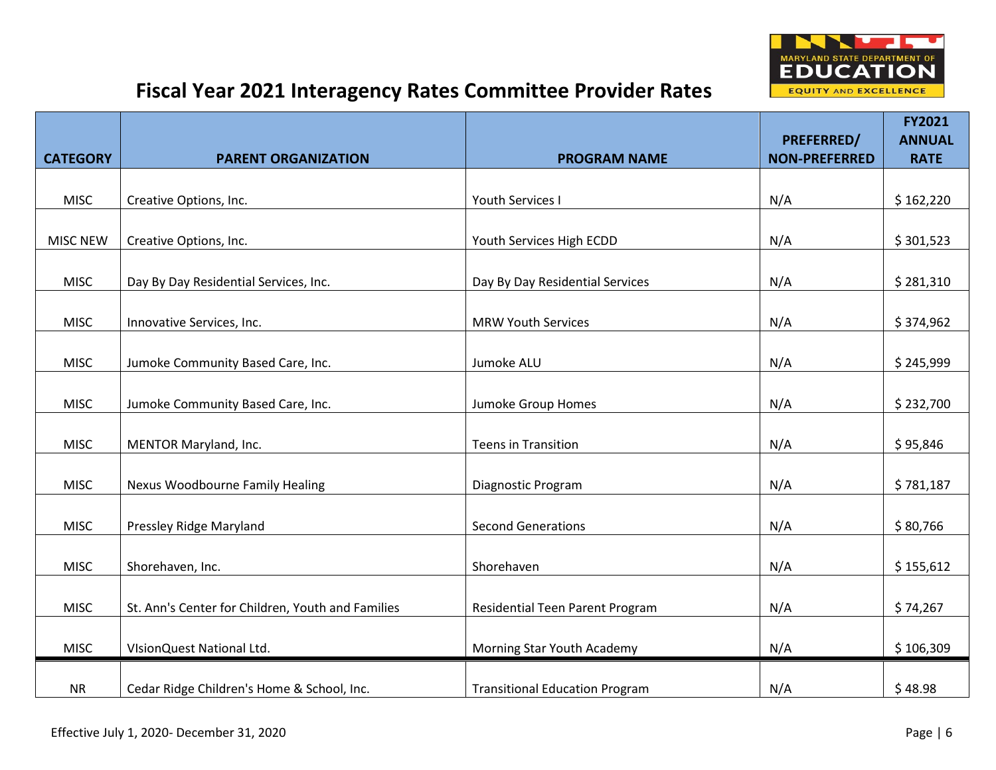

|                 |                                                   |                                       |                                    | <b>FY2021</b>                |
|-----------------|---------------------------------------------------|---------------------------------------|------------------------------------|------------------------------|
| <b>CATEGORY</b> | <b>PARENT ORGANIZATION</b>                        | <b>PROGRAM NAME</b>                   | PREFERRED/<br><b>NON-PREFERRED</b> | <b>ANNUAL</b><br><b>RATE</b> |
|                 |                                                   |                                       |                                    |                              |
| <b>MISC</b>     | Creative Options, Inc.                            | Youth Services I                      | N/A                                | \$162,220                    |
|                 |                                                   |                                       |                                    |                              |
| <b>MISC NEW</b> | Creative Options, Inc.                            | Youth Services High ECDD              | N/A                                | \$301,523                    |
| <b>MISC</b>     | Day By Day Residential Services, Inc.             | Day By Day Residential Services       | N/A                                | \$281,310                    |
| <b>MISC</b>     | Innovative Services, Inc.                         | <b>MRW Youth Services</b>             | N/A                                | \$374,962                    |
|                 |                                                   |                                       |                                    |                              |
| <b>MISC</b>     | Jumoke Community Based Care, Inc.                 | Jumoke ALU                            | N/A                                | \$245,999                    |
| <b>MISC</b>     | Jumoke Community Based Care, Inc.                 | Jumoke Group Homes                    | N/A                                | \$232,700                    |
|                 |                                                   |                                       |                                    |                              |
| <b>MISC</b>     | MENTOR Maryland, Inc.                             | <b>Teens in Transition</b>            | N/A                                | \$95,846                     |
|                 |                                                   |                                       |                                    |                              |
| <b>MISC</b>     | Nexus Woodbourne Family Healing                   | Diagnostic Program                    | N/A                                | \$781,187                    |
| <b>MISC</b>     | Pressley Ridge Maryland                           | <b>Second Generations</b>             | N/A                                | \$80,766                     |
| <b>MISC</b>     | Shorehaven, Inc.                                  | Shorehaven                            | N/A                                | \$155,612                    |
|                 |                                                   |                                       |                                    |                              |
| <b>MISC</b>     | St. Ann's Center for Children, Youth and Families | Residential Teen Parent Program       | N/A                                | \$74,267                     |
| <b>MISC</b>     | VIsionQuest National Ltd.                         | Morning Star Youth Academy            | N/A                                | \$106,309                    |
|                 |                                                   |                                       |                                    |                              |
| <b>NR</b>       | Cedar Ridge Children's Home & School, Inc.        | <b>Transitional Education Program</b> | N/A                                | \$48.98                      |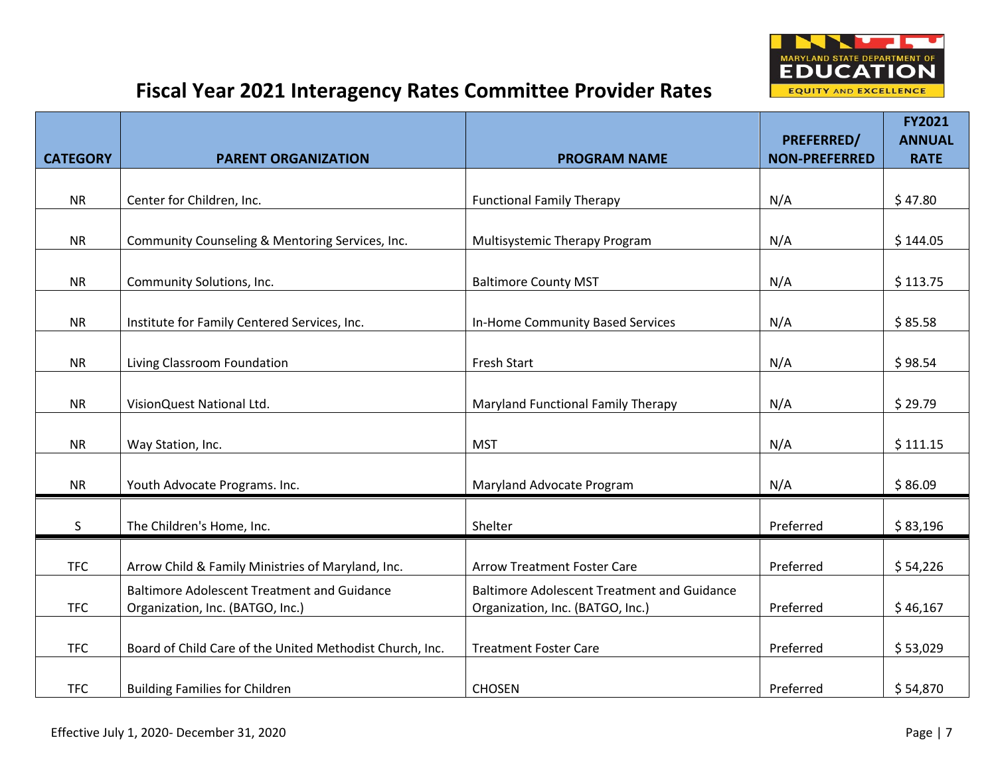

|                 |                                                                                        |                                                                                        | PREFERRED/           | FY2021<br><b>ANNUAL</b> |
|-----------------|----------------------------------------------------------------------------------------|----------------------------------------------------------------------------------------|----------------------|-------------------------|
| <b>CATEGORY</b> | <b>PARENT ORGANIZATION</b>                                                             | <b>PROGRAM NAME</b>                                                                    | <b>NON-PREFERRED</b> | <b>RATE</b>             |
|                 |                                                                                        |                                                                                        |                      |                         |
| <b>NR</b>       | Center for Children, Inc.                                                              | <b>Functional Family Therapy</b>                                                       | N/A                  | \$47.80                 |
| <b>NR</b>       | Community Counseling & Mentoring Services, Inc.                                        | Multisystemic Therapy Program                                                          | N/A                  | \$144.05                |
| <b>NR</b>       | Community Solutions, Inc.                                                              | <b>Baltimore County MST</b>                                                            | N/A                  | \$113.75                |
| <b>NR</b>       | Institute for Family Centered Services, Inc.                                           | In-Home Community Based Services                                                       | N/A                  | \$85.58                 |
| <b>NR</b>       | Living Classroom Foundation                                                            | <b>Fresh Start</b>                                                                     | N/A                  | \$98.54                 |
| <b>NR</b>       | VisionQuest National Ltd.                                                              | Maryland Functional Family Therapy                                                     | N/A                  | \$29.79                 |
| <b>NR</b>       | Way Station, Inc.                                                                      | <b>MST</b>                                                                             | N/A                  | \$111.15                |
| <b>NR</b>       | Youth Advocate Programs. Inc.                                                          | Maryland Advocate Program                                                              | N/A                  | \$86.09                 |
| S               | The Children's Home, Inc.                                                              | Shelter                                                                                | Preferred            | \$83,196                |
| <b>TFC</b>      | Arrow Child & Family Ministries of Maryland, Inc.                                      | <b>Arrow Treatment Foster Care</b>                                                     | Preferred            | \$54,226                |
| <b>TFC</b>      | <b>Baltimore Adolescent Treatment and Guidance</b><br>Organization, Inc. (BATGO, Inc.) | <b>Baltimore Adolescent Treatment and Guidance</b><br>Organization, Inc. (BATGO, Inc.) | Preferred            | \$46,167                |
| <b>TFC</b>      | Board of Child Care of the United Methodist Church, Inc.                               | <b>Treatment Foster Care</b>                                                           | Preferred            | \$53,029                |
| <b>TFC</b>      | <b>Building Families for Children</b>                                                  | <b>CHOSEN</b>                                                                          | Preferred            | \$54,870                |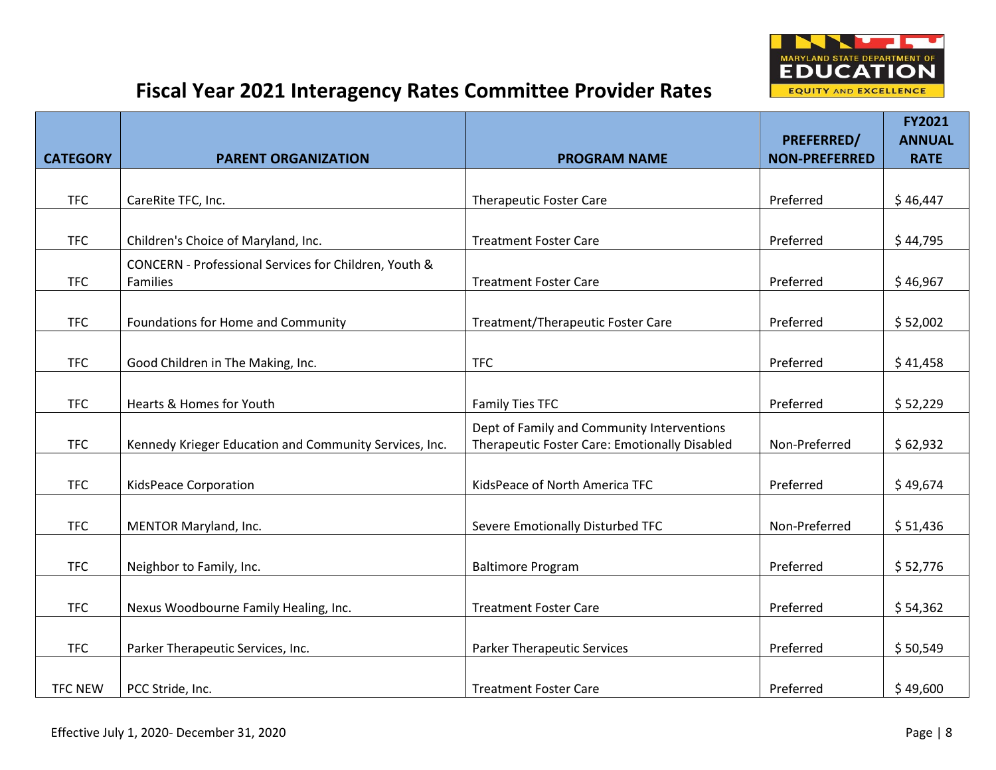

|                 |                                                                   |                                                                                             |                                           | <b>FY2021</b>                |
|-----------------|-------------------------------------------------------------------|---------------------------------------------------------------------------------------------|-------------------------------------------|------------------------------|
| <b>CATEGORY</b> | <b>PARENT ORGANIZATION</b>                                        | <b>PROGRAM NAME</b>                                                                         | <b>PREFERRED/</b><br><b>NON-PREFERRED</b> | <b>ANNUAL</b><br><b>RATE</b> |
|                 |                                                                   |                                                                                             |                                           |                              |
| <b>TFC</b>      | CareRite TFC, Inc.                                                | <b>Therapeutic Foster Care</b>                                                              | Preferred                                 | \$46,447                     |
|                 |                                                                   |                                                                                             |                                           |                              |
| <b>TFC</b>      | Children's Choice of Maryland, Inc.                               | <b>Treatment Foster Care</b>                                                                | Preferred                                 | \$44,795                     |
| <b>TFC</b>      | CONCERN - Professional Services for Children, Youth &<br>Families | <b>Treatment Foster Care</b>                                                                | Preferred                                 | \$46,967                     |
| <b>TFC</b>      | Foundations for Home and Community                                | Treatment/Therapeutic Foster Care                                                           | Preferred                                 | \$52,002                     |
| <b>TFC</b>      | Good Children in The Making, Inc.                                 | <b>TFC</b>                                                                                  | Preferred                                 | \$41,458                     |
| <b>TFC</b>      | Hearts & Homes for Youth                                          | Family Ties TFC                                                                             | Preferred                                 | \$52,229                     |
| <b>TFC</b>      | Kennedy Krieger Education and Community Services, Inc.            | Dept of Family and Community Interventions<br>Therapeutic Foster Care: Emotionally Disabled | Non-Preferred                             | \$62,932                     |
| <b>TFC</b>      | KidsPeace Corporation                                             | KidsPeace of North America TFC                                                              | Preferred                                 | \$49,674                     |
| <b>TFC</b>      | MENTOR Maryland, Inc.                                             | Severe Emotionally Disturbed TFC                                                            | Non-Preferred                             | \$51,436                     |
| <b>TFC</b>      | Neighbor to Family, Inc.                                          | <b>Baltimore Program</b>                                                                    | Preferred                                 | \$52,776                     |
| <b>TFC</b>      | Nexus Woodbourne Family Healing, Inc.                             | <b>Treatment Foster Care</b>                                                                | Preferred                                 | \$54,362                     |
| <b>TFC</b>      | Parker Therapeutic Services, Inc.                                 | <b>Parker Therapeutic Services</b>                                                          | Preferred                                 | \$50,549                     |
| <b>TFC NEW</b>  | PCC Stride, Inc.                                                  | <b>Treatment Foster Care</b>                                                                | Preferred                                 | \$49,600                     |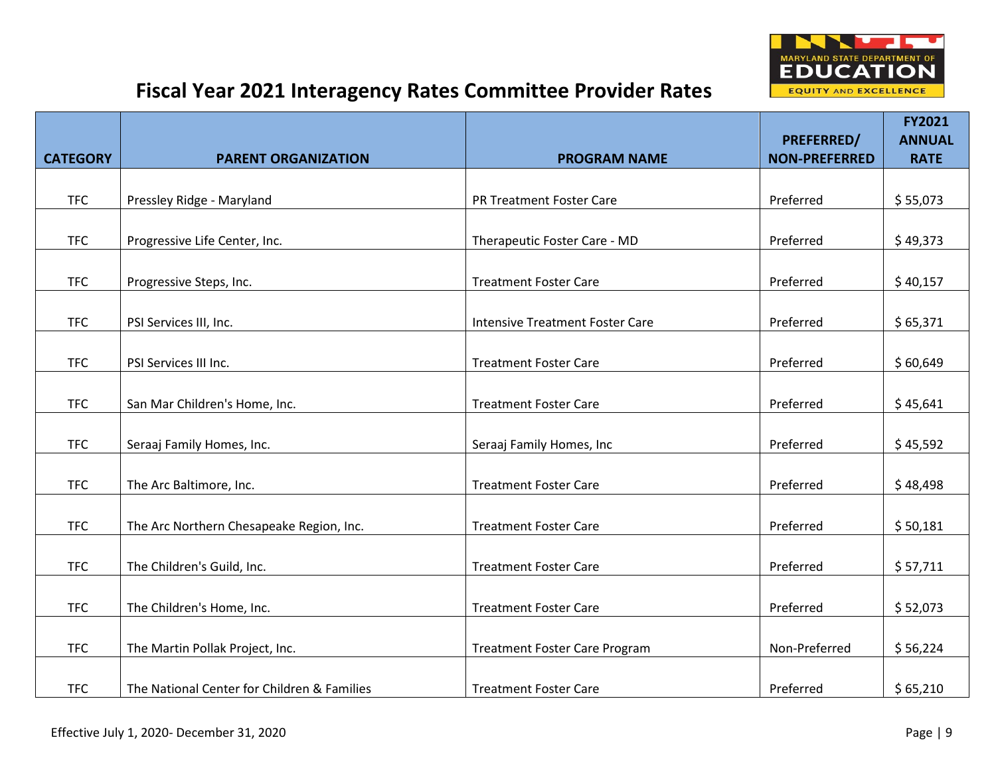

|                 |                                             |                                        |                                    | FY2021                       |
|-----------------|---------------------------------------------|----------------------------------------|------------------------------------|------------------------------|
| <b>CATEGORY</b> | <b>PARENT ORGANIZATION</b>                  | <b>PROGRAM NAME</b>                    | PREFERRED/<br><b>NON-PREFERRED</b> | <b>ANNUAL</b><br><b>RATE</b> |
|                 |                                             |                                        |                                    |                              |
| <b>TFC</b>      | Pressley Ridge - Maryland                   | PR Treatment Foster Care               | Preferred                          | \$55,073                     |
|                 |                                             |                                        |                                    |                              |
| <b>TFC</b>      | Progressive Life Center, Inc.               | Therapeutic Foster Care - MD           | Preferred                          | \$49,373                     |
| <b>TFC</b>      | Progressive Steps, Inc.                     | <b>Treatment Foster Care</b>           | Preferred                          | \$40,157                     |
| <b>TFC</b>      | PSI Services III, Inc.                      | <b>Intensive Treatment Foster Care</b> | Preferred                          | \$65,371                     |
|                 |                                             |                                        |                                    |                              |
| <b>TFC</b>      | PSI Services III Inc.                       | <b>Treatment Foster Care</b>           | Preferred                          | \$60,649                     |
| <b>TFC</b>      | San Mar Children's Home, Inc.               | <b>Treatment Foster Care</b>           | Preferred                          | \$45,641                     |
| <b>TFC</b>      | Seraaj Family Homes, Inc.                   | Seraaj Family Homes, Inc               | Preferred                          | \$45,592                     |
|                 |                                             |                                        |                                    |                              |
| <b>TFC</b>      | The Arc Baltimore, Inc.                     | <b>Treatment Foster Care</b>           | Preferred                          | \$48,498                     |
| <b>TFC</b>      | The Arc Northern Chesapeake Region, Inc.    | <b>Treatment Foster Care</b>           | Preferred                          | \$50,181                     |
| <b>TFC</b>      | The Children's Guild, Inc.                  | <b>Treatment Foster Care</b>           | Preferred                          | \$57,711                     |
|                 |                                             |                                        |                                    |                              |
| <b>TFC</b>      | The Children's Home, Inc.                   | <b>Treatment Foster Care</b>           | Preferred                          | \$52,073                     |
| <b>TFC</b>      | The Martin Pollak Project, Inc.             | <b>Treatment Foster Care Program</b>   | Non-Preferred                      | \$56,224                     |
| <b>TFC</b>      | The National Center for Children & Families | <b>Treatment Foster Care</b>           | Preferred                          | \$65,210                     |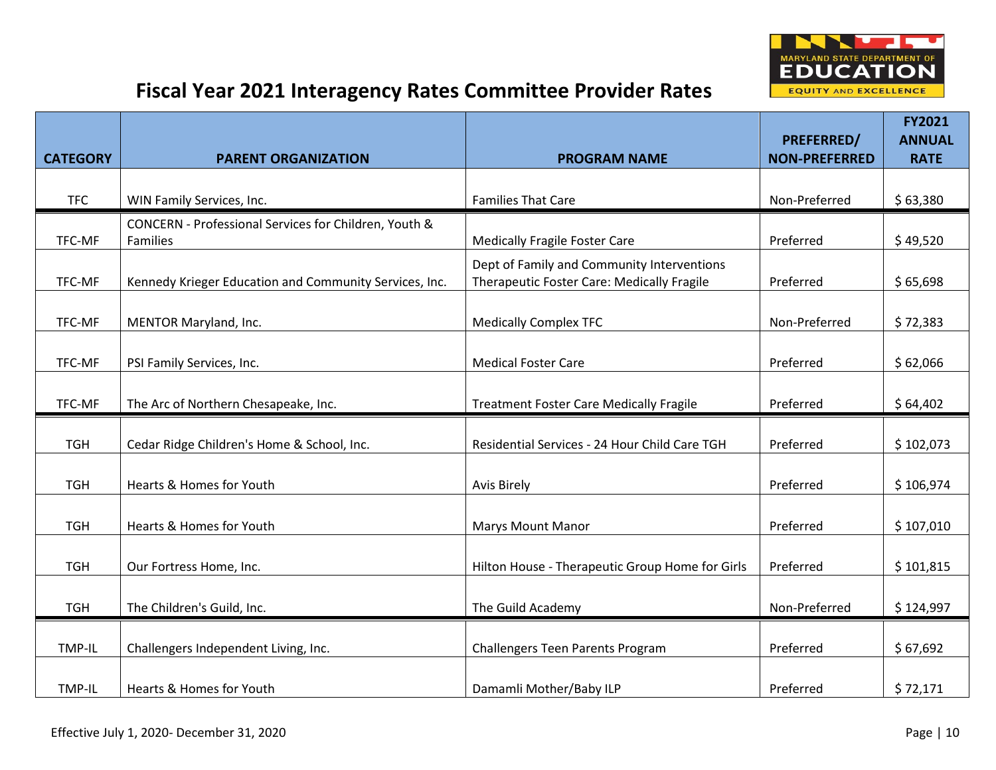

|                 |                                                        |                                                 | <b>PREFERRED/</b>    | <b>FY2021</b><br><b>ANNUAL</b> |
|-----------------|--------------------------------------------------------|-------------------------------------------------|----------------------|--------------------------------|
| <b>CATEGORY</b> | <b>PARENT ORGANIZATION</b>                             | <b>PROGRAM NAME</b>                             | <b>NON-PREFERRED</b> | <b>RATE</b>                    |
|                 |                                                        |                                                 |                      |                                |
| <b>TFC</b>      | WIN Family Services, Inc.                              | <b>Families That Care</b>                       | Non-Preferred        | \$63,380                       |
|                 | CONCERN - Professional Services for Children, Youth &  |                                                 |                      |                                |
| TFC-MF          | Families                                               | <b>Medically Fragile Foster Care</b>            | Preferred            | \$49,520                       |
|                 |                                                        | Dept of Family and Community Interventions      |                      |                                |
| TFC-MF          | Kennedy Krieger Education and Community Services, Inc. | Therapeutic Foster Care: Medically Fragile      | Preferred            | \$65,698                       |
| TFC-MF          | MENTOR Maryland, Inc.                                  | <b>Medically Complex TFC</b>                    | Non-Preferred        | \$72,383                       |
|                 |                                                        |                                                 |                      |                                |
| TFC-MF          | PSI Family Services, Inc.                              | <b>Medical Foster Care</b>                      | Preferred            | \$62,066                       |
|                 |                                                        |                                                 |                      |                                |
| TFC-MF          | The Arc of Northern Chesapeake, Inc.                   | <b>Treatment Foster Care Medically Fragile</b>  | Preferred            | \$64,402                       |
|                 |                                                        |                                                 |                      |                                |
| <b>TGH</b>      | Cedar Ridge Children's Home & School, Inc.             | Residential Services - 24 Hour Child Care TGH   | Preferred            | \$102,073                      |
|                 |                                                        |                                                 |                      |                                |
| <b>TGH</b>      | Hearts & Homes for Youth                               | <b>Avis Birely</b>                              | Preferred            | \$106,974                      |
|                 |                                                        |                                                 |                      |                                |
| <b>TGH</b>      | Hearts & Homes for Youth                               | <b>Marys Mount Manor</b>                        | Preferred            | \$107,010                      |
|                 |                                                        |                                                 |                      |                                |
| <b>TGH</b>      | Our Fortress Home, Inc.                                | Hilton House - Therapeutic Group Home for Girls | Preferred            | \$101,815                      |
| <b>TGH</b>      | The Children's Guild, Inc.                             | The Guild Academy                               | Non-Preferred        | \$124,997                      |
|                 |                                                        |                                                 |                      |                                |
| TMP-IL          | Challengers Independent Living, Inc.                   | Challengers Teen Parents Program                | Preferred            | \$67,692                       |
|                 |                                                        |                                                 |                      |                                |
| TMP-IL          | Hearts & Homes for Youth                               | Damamli Mother/Baby ILP                         | Preferred            | \$72,171                       |